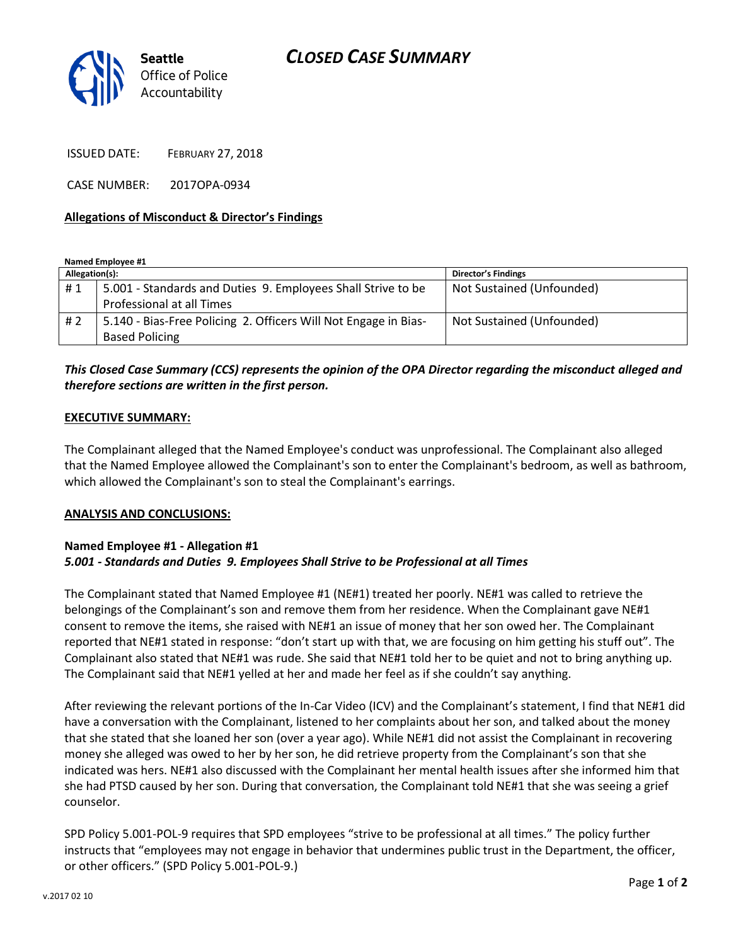

ISSUED DATE: FEBRUARY 27, 2018

CASE NUMBER: 2017OPA-0934

### **Allegations of Misconduct & Director's Findings**

**Named Employee #1**

| Allegation(s): |                                                                 | Director's Findings       |
|----------------|-----------------------------------------------------------------|---------------------------|
| #1             | 5.001 - Standards and Duties 9. Employees Shall Strive to be    | Not Sustained (Unfounded) |
|                | Professional at all Times                                       |                           |
| #2             | 5.140 - Bias-Free Policing 2. Officers Will Not Engage in Bias- | Not Sustained (Unfounded) |
|                | <b>Based Policing</b>                                           |                           |

# *This Closed Case Summary (CCS) represents the opinion of the OPA Director regarding the misconduct alleged and therefore sections are written in the first person.*

#### **EXECUTIVE SUMMARY:**

The Complainant alleged that the Named Employee's conduct was unprofessional. The Complainant also alleged that the Named Employee allowed the Complainant's son to enter the Complainant's bedroom, as well as bathroom, which allowed the Complainant's son to steal the Complainant's earrings.

#### **ANALYSIS AND CONCLUSIONS:**

## **Named Employee #1 - Allegation #1** *5.001 - Standards and Duties 9. Employees Shall Strive to be Professional at all Times*

The Complainant stated that Named Employee #1 (NE#1) treated her poorly. NE#1 was called to retrieve the belongings of the Complainant's son and remove them from her residence. When the Complainant gave NE#1 consent to remove the items, she raised with NE#1 an issue of money that her son owed her. The Complainant reported that NE#1 stated in response: "don't start up with that, we are focusing on him getting his stuff out". The Complainant also stated that NE#1 was rude. She said that NE#1 told her to be quiet and not to bring anything up. The Complainant said that NE#1 yelled at her and made her feel as if she couldn't say anything.

After reviewing the relevant portions of the In-Car Video (ICV) and the Complainant's statement, I find that NE#1 did have a conversation with the Complainant, listened to her complaints about her son, and talked about the money that she stated that she loaned her son (over a year ago). While NE#1 did not assist the Complainant in recovering money she alleged was owed to her by her son, he did retrieve property from the Complainant's son that she indicated was hers. NE#1 also discussed with the Complainant her mental health issues after she informed him that she had PTSD caused by her son. During that conversation, the Complainant told NE#1 that she was seeing a grief counselor.

SPD Policy 5.001-POL-9 requires that SPD employees "strive to be professional at all times." The policy further instructs that "employees may not engage in behavior that undermines public trust in the Department, the officer, or other officers." (SPD Policy 5.001-POL-9.)